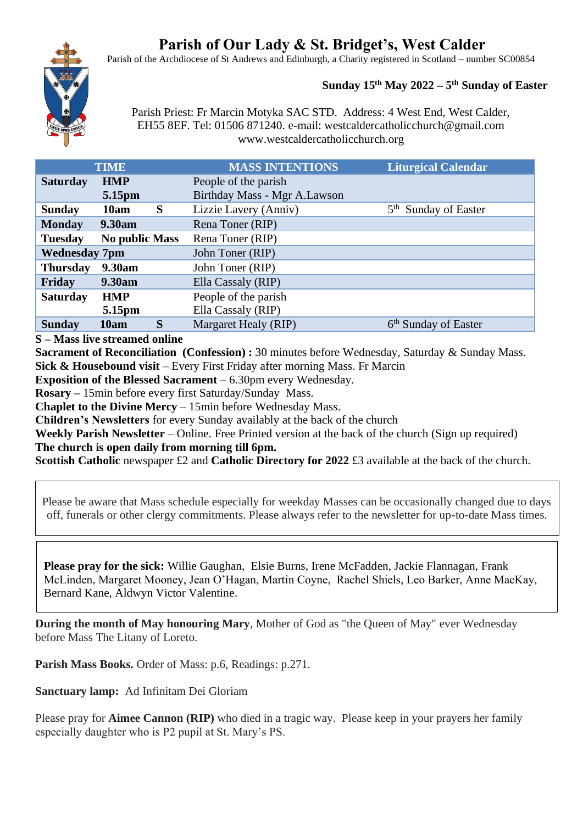# **Parish of Our Lady & St. Bridget's, West Calder**

Parish of the Archdiocese of St Andrews and Edinburgh, a Charity registered in Scotland – number SC00854



## **Sunday 15 th May 2022 – 5 th Sunday of Easter**

Parish Priest: Fr Marcin Motyka SAC STD. Address: 4 West End, West Calder, EH55 8EF. Tel: 01506 871240. e-mail: westcaldercatholicchurch@gmail.com www.westcaldercatholicchurch.org

| <b>TIME</b>                             | <b>MASS INTENTIONS</b>       | <b>Liturgical Calendar</b>       |
|-----------------------------------------|------------------------------|----------------------------------|
| <b>Saturday</b><br><b>HMP</b>           | People of the parish         |                                  |
| 5.15pm                                  | Birthday Mass - Mgr A.Lawson |                                  |
| S<br><b>Sunday</b><br>10am              | Lizzie Lavery (Anniv)        | 5 <sup>th</sup> Sunday of Easter |
| 9.30am<br><b>Monday</b>                 | Rena Toner (RIP)             |                                  |
| <b>No public Mass</b><br><b>Tuesday</b> | Rena Toner (RIP)             |                                  |
| <b>Wednesday 7pm</b>                    | John Toner (RIP)             |                                  |
| 9.30am<br><b>Thursday</b>               | John Toner (RIP)             |                                  |
| Friday<br>9.30am                        | Ella Cassaly (RIP)           |                                  |
| <b>Saturday</b><br><b>HMP</b>           | People of the parish         |                                  |
| 5.15pm                                  | Ella Cassaly (RIP)           |                                  |
| S<br><b>Sunday</b><br>10am              | Margaret Healy (RIP)         | 6 <sup>th</sup> Sunday of Easter |

**S – Mass live streamed online**

**Sacrament of Reconciliation (Confession) :** 30 minutes before Wednesday, Saturday & Sunday Mass. **Sick & Housebound visit** – Every First Friday after morning Mass. Fr Marcin

**Exposition of the Blessed Sacrament** – 6.30pm every Wednesday.

**Rosary –** 15min before every first Saturday/Sunday Mass.

**Chaplet to the Divine Mercy** – 15min before Wednesday Mass.

**Children's Newsletters** for every Sunday availably at the back of the church

**Weekly Parish Newsletter** – Online. Free Printed version at the back of the church (Sign up required) **The church is open daily from morning till 6pm.** 

**Scottish Catholic newspaper £2 and Catholic Directory for 2022 £3 available at the back of the church.** 

Please be aware that Mass schedule especially for weekday Masses can be occasionally changed due to days off, funerals or other clergy commitments. Please always refer to the newsletter for up-to-date Mass times.

**Please pray for the sick:** Willie Gaughan, Elsie Burns, Irene McFadden, Jackie Flannagan, Frank McLinden, Margaret Mooney, Jean O'Hagan, Martin Coyne, Rachel Shiels, Leo Barker, Anne MacKay, Bernard Kane, Aldwyn Victor Valentine.

**During the month of May honouring Mary**, Mother of God as "the Queen of May" ever Wednesday before Mass The Litany of Loreto.

**Parish Mass Books.** Order of Mass: p.6, Readings: p.271.

**Sanctuary lamp:** Ad Infinitam Dei Gloriam

Please pray for **Aimee Cannon (RIP)** who died in a tragic way. Please keep in your prayers her family especially daughter who is P2 pupil at St. Mary's PS.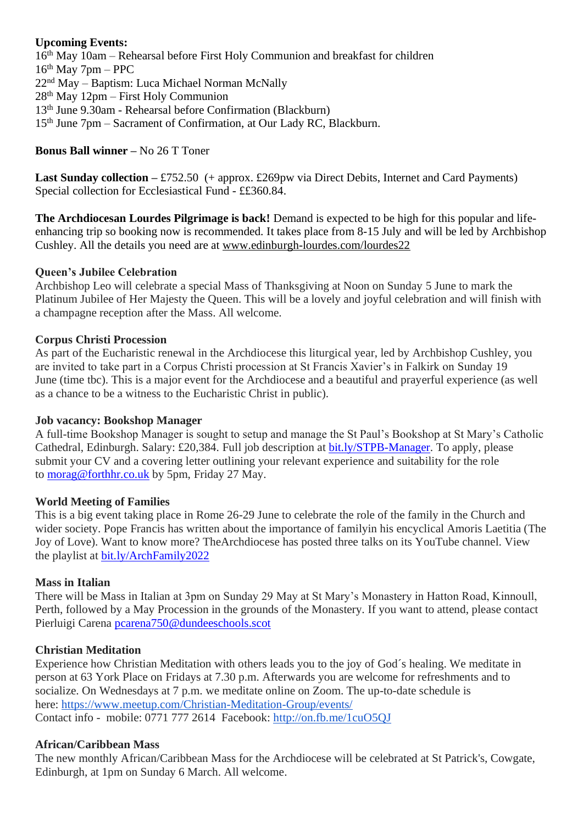## **Upcoming Events:**

th May 10am – Rehearsal before First Holy Communion and breakfast for children  $16<sup>th</sup>$  May 7pm – PPC nd May – Baptism: Luca Michael Norman McNally th May 12pm – First Holy Communion th June 9.30am - Rehearsal before Confirmation (Blackburn) 15<sup>th</sup> June 7pm – Sacrament of Confirmation, at Our Lady RC, Blackburn.

## **Bonus Ball winner –** No 26 T Toner

**Last Sunday collection –** £752.50 (+ approx. £269pw via Direct Debits, Internet and Card Payments) Special collection for Ecclesiastical Fund - ££360.84.

**The Archdiocesan Lourdes Pilgrimage is back!** Demand is expected to be high for this popular and lifeenhancing trip so booking now is recommended. It takes place from 8-15 July and will be led by Archbishop Cushley. All the details you need are at [www.edinburgh-lourdes.com/lourdes22](http://www.edinburgh-lourdes.com/lourdes22)

## **Queen's Jubilee Celebration**

Archbishop Leo will celebrate a special Mass of Thanksgiving at Noon on Sunday 5 June to mark the Platinum Jubilee of Her Majesty the Queen. This will be a lovely and joyful celebration and will finish with a champagne reception after the Mass. All welcome.

## **Corpus Christi Procession**

As part of the Eucharistic renewal in the Archdiocese this liturgical year, led by Archbishop Cushley, you are invited to take part in a Corpus Christi procession at St Francis Xavier's in Falkirk on Sunday 19 June (time tbc). This is a major event for the Archdiocese and a beautiful and prayerful experience (as well as a chance to be a witness to the Eucharistic Christ in public).

#### **Job vacancy: Bookshop Manager**

A full-time Bookshop Manager is sought to setup and manage the St Paul's Bookshop at St Mary's Catholic Cathedral, Edinburgh. Salary: £20,384. Full job description at [bit.ly/STPB-Manager.](https://bit.ly/STPB-Manager?fbclid=IwAR2x2U1BpZaxtvMRaeEUOV0pn7kprJfWDw_9Tl8MGGN5SRd1iaboQOqYpaI) To apply, please submit your CV and a covering letter outlining your relevant experience and suitability for the role to [morag@forthhr.co.uk](https://mailto:morag@forthhr.co.uk/) by 5pm, Friday 27 May.

## **World Meeting of Families**

This is a big event taking place in Rome 26-29 June to celebrate the role of the family in the Church and wider society. Pope Francis has written about the importance of familyin his encyclical Amoris Laetitia (The Joy of Love). Want to know more? TheArchdiocese has posted three talks on its YouTube channel. View the playlist at [bit.ly/ArchFamily2022](https://www.youtube.com/playlist?list=PLQv_xMj23KQgSetlM_e3kCFxdy9Tya7B2)

## **Mass in Italian**

There will be Mass in Italian at 3pm on Sunday 29 May at St Mary's Monastery in Hatton Road, Kinnoull, Perth, followed by a May Procession in the grounds of the Monastery. If you want to attend, please contact Pierluigi Carena [pcarena750@dundeeschools.scot](https://mailto:pcarena750@dundeeschools.scot/)

## **Christian Meditation**

Experience how Christian Meditation with others leads you to the joy of God´s healing. We meditate in person at 63 York Place on Fridays at 7.30 p.m. Afterwards you are welcome for refreshments and to socialize. On Wednesdays at 7 p.m. we meditate online on Zoom. The up-to-date schedule is here: <https://www.meetup.com/Christian-Meditation-Group/events/> Contact info - mobile: 0771 777 2614 Facebook: <http://on.fb.me/1cuO5QJ>

## **African/Caribbean Mass**

The new monthly African/Caribbean Mass for the Archdiocese will be celebrated at St Patrick's, Cowgate, Edinburgh, at 1pm on Sunday 6 March. All welcome.